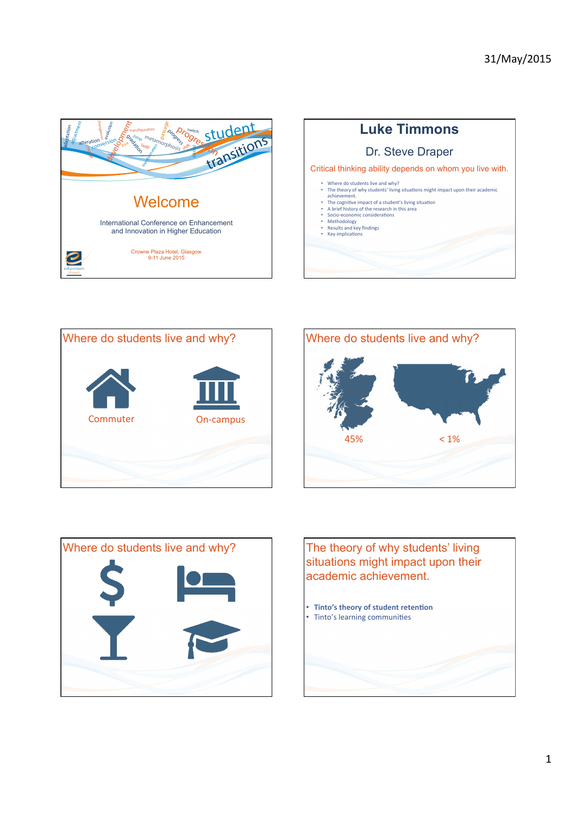









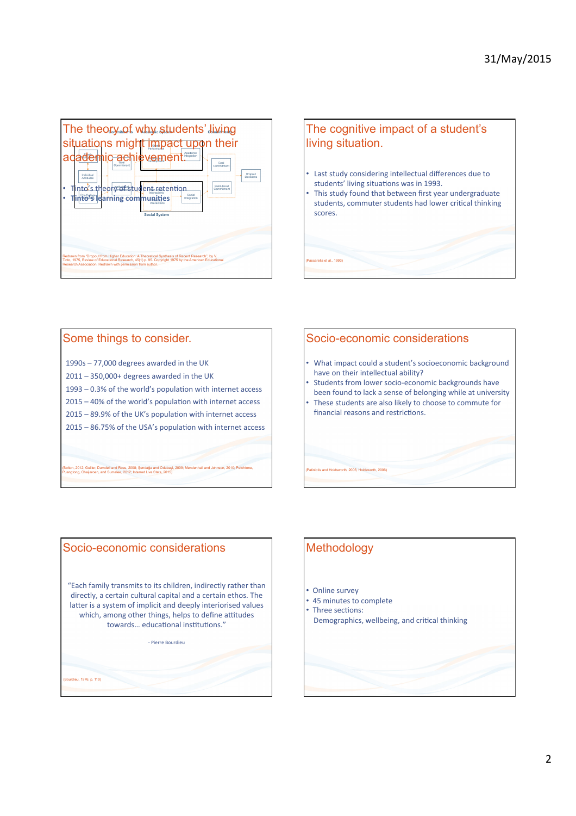



### Some things to consider.

- $1990s 77,000$  degrees awarded in the UK  $2011 - 350,000 +$  degrees awarded in the UK  $1993 - 0.3\%$  of the world's population with internet access  $2015 - 40\%$  of the world's population with internet access
- 2015 89.9% of the UK's population with internet access
- $2015 86.75%$  of the USA's population with internet access

(Bolton, 2012; Guiller, Durndell and Ross, 2008; Şendağa and Odabaşi, 2009; Mendenhall and Johnson, 2010; Petchtone, Puangtong, Chaijaroen, and Sumalee, 2012; Internet Live Stats, 2015)

## Socio-economic considerations What impact could a student's socioeconomic background have on their intellectual ability? Students from lower socio-economic backgrounds have been found to lack a sense of belonging while at university These students are also likely to choose to commute for financial reasons and restrictions.

(Patiniotis and Holdsworth, 2005; Holdsworth, 2006)

# Socio-economic considerations

 $(1076, 0.110)$ 

"Each family transmits to its children, indirectly rather than directly, a certain cultural capital and a certain ethos. The latter is a system of implicit and deeply interiorised values which, among other things, helps to define attitudes towards... educational institutions."

- Pierre Bourdieu

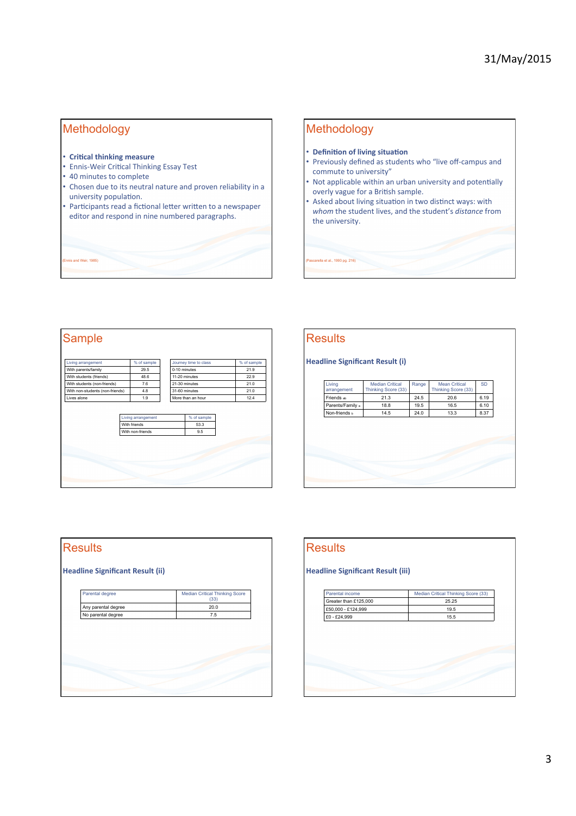## Methodology

- **Critical thinking measure**
- Ennis-Weir Critical Thinking Essay Test
- 40 minutes to complete
- Chosen due to its neutral nature and proven reliability in a university population.
- Participants read a fictional letter written to a newspaper editor and respond in nine numbered paragraphs.

nd Weir, 1985)

### Methodology

a et al., 1993 pg. 216)

**Results** 

- **Definition of living situation**
- Previously defined as students who "live off-campus and commute to university"
- Not applicable within an urban university and potentially overly vague for a British sample.
- Asked about living situation in two distinct ways: with whom the student lives, and the student's *distance* from the university.



| Living<br>arrangement | <b>Median Critical</b><br>Thinking Score (33) | Range        | <b>Mean Critical</b><br>Thinking Score (33) | <b>SD</b> |
|-----------------------|-----------------------------------------------|--------------|---------------------------------------------|-----------|
| Friends ab            | 21.3                                          | 20.6<br>24.5 |                                             | 6.19      |
| Parents/Family a      | 18.8                                          | 19.5         | 16.5                                        | 6.10      |
| Non-friends b         | 14.5                                          | 24.0         | 13.3                                        | 8.37      |
|                       |                                               |              |                                             |           |
|                       |                                               |              |                                             |           |
|                       |                                               |              |                                             |           |



### **Results Headline Significant Result (iii)** Parental income Median Critical Thinking Score (33)<br>Greater than £125,000 25.25 Greater than £125,000 25.25<br>
£50,000 - £124,999 19.5  $E50,000 - E124,999$  $E0 - E24,999$  15.5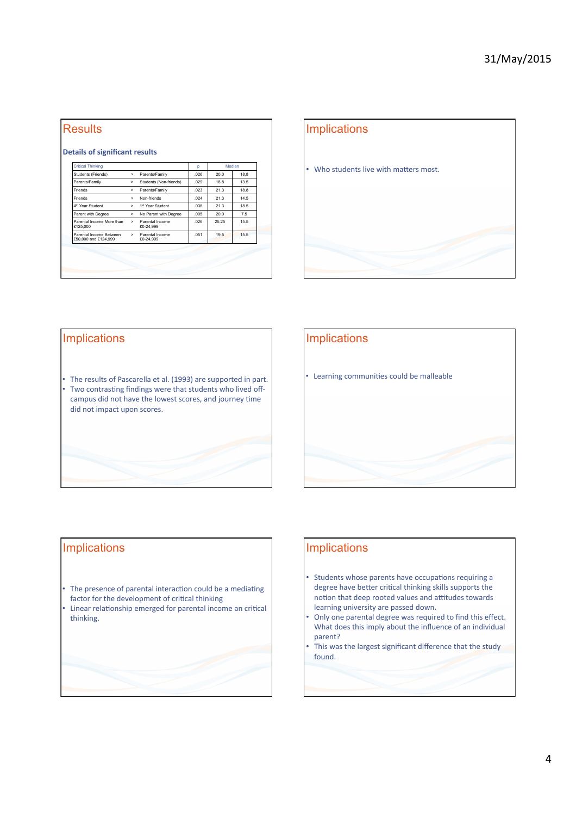# **Results**

### **Details of significant results**

| Critical Thinking                               |              |                              | D    | Median |      |
|-------------------------------------------------|--------------|------------------------------|------|--------|------|
| Students (Friends)                              | >            | Parents/Family               | 026  | 20.0   | 18.8 |
| Parents/Family                                  | >            | Students (Non-friends)       | .029 | 18.8   | 13.5 |
| Friends                                         | >            | Parents/Family               | .023 | 21.3   | 18.8 |
| Friends                                         | ь.           | Non-friends                  | .024 | 21.3   | 14.5 |
| 4 <sup>th</sup> Year Student                    | ь.           | 1st Year Student             | 036  | 21.3   | 18.5 |
| Parent with Degree                              | >            | No Parent with Degree        | .005 | 20.0   | 7.5  |
| Parental Income More than<br>£125,000           | $\mathbf{r}$ | Parental Income<br>£0-24.999 | 026  | 25 25  | 15.5 |
| Parental Income Between<br>£50,000 and £124,999 | $\mathbf{r}$ | Parental Income<br>£0-24.999 | 051  | 19.5   | 15.5 |



### Implications

• The results of Pascarella et al. (1993) are supported in part. • Two contrasting findings were that students who lived offcampus did not have the lowest scores, and journey time did not impact upon scores.

### Implications

• Learning communities could be malleable

### Implications

- The presence of parental interaction could be a mediating factor for the development of critical thinking
- Linear relationship emerged for parental income an critical thinking.

### **Implications**

- Students whose parents have occupations requiring a degree have better critical thinking skills supports the notion that deep rooted values and attitudes towards learning university are passed down.
- Only one parental degree was required to find this effect. What does this imply about the influence of an individual parent?
- This was the largest significant difference that the study found.